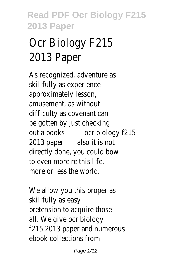# Ocr Biology F215 2013 Paper

As recognized, adventure as skillfully as experience approximately lesson, amusement, as without difficulty as covenant can be gotten by just checking out a books ocr biology f215 2013 paper also it is not directly done, you could bow to even more re this life, more or less the world.

We allow you this proper as skillfully as easy pretension to acquire those all. We give ocr biology f215 2013 paper and numerous ebook collections from

Page 1/12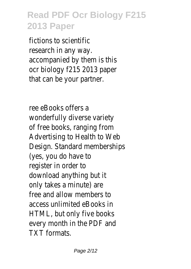fictions to scientific research in any way. accompanied by them is this ocr biology f215 2013 paper that can be your partner.

ree eBooks offers a wonderfully diverse variety of free books, ranging from Advertising to Health to Web Design. Standard memberships (yes, you do have to register in order to download anything but it only takes a minute) are free and allow members to access unlimited eBooks in HTML, but only five books every month in the PDF and TXT formats.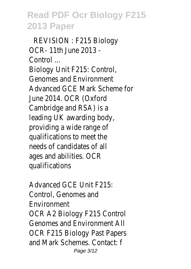REVISION : F215 Biology OCR- 11th June 2013 - Control ... Biology Unit F215: Control, Genomes and Environment Advanced GCE Mark Scheme for June 2014. OCR (Oxford Cambridge and RSA) is a leading UK awarding body, providing a wide range of qualifications to meet the needs of candidates of all ages and abilities. OCR qualifications

Advanced GCE Unit F215: Control, Genomes and Environment OCR A2 Biology F215 Control Genomes and Environment All OCR F215 Biology Past Papers and Mark Schemes. Contact: f Page 3/12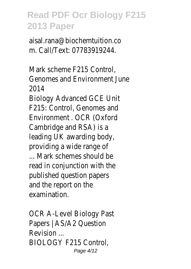aisal.rana@biochemtuition.co m. Call/Text: 07783919244.

Mark scheme F215 Control, Genomes and Environment June 2014

Biology Advanced GCE Unit F215: Control, Genomes and Environment . OCR (Oxford Cambridge and RSA) is a leading UK awarding body, providing a wide range of

... Mark schemes should be read in conjunction with the published question papers and the report on the examination.

OCR A-Level Biology Past Papers | AS/A2 Question Revision ... BIOLOGY F215 Control, Page 4/12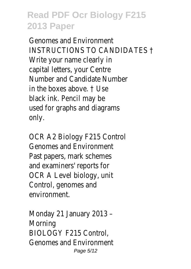Genomes and Environment INSTRUCTIONS TO CANDIDATES † Write your name clearly in capital letters, your Centre Number and Candidate Number in the boxes above. † Use black ink. Pencil may be used for graphs and diagrams only.

OCR A2 Biology F215 Control Genomes and Environment Past papers, mark schemes and examiners' reports for OCR A Level biology, unit Control, genomes and environment.

Monday 21 January 2013 – Morning BIOLOGY F215 Control, Genomes and Environment Page 5/12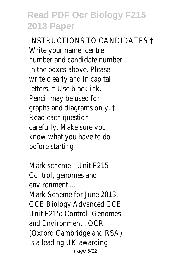INSTRUCTIONS TO CANDIDATES † Write your name, centre number and candidate number in the boxes above. Please write clearly and in capital letters. † Use black ink. Pencil may be used for graphs and diagrams only. † Read each question carefully. Make sure you know what you have to do before starting

Mark scheme - Unit F215 - Control, genomes and environment ... Mark Scheme for June 2013. GCE Biology Advanced GCE Unit F215: Control, Genomes and Environment . OCR (Oxford Cambridge and RSA) is a leading UK awarding Page 6/12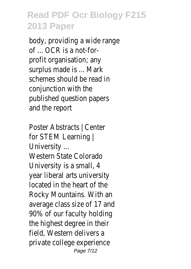body, providing a wide range of ... OCR is a not-forprofit organisation; any surplus made is ... Mark schemes should be read in conjunction with the published question papers and the report

Poster Abstracts | Center for STEM Learning | University ... Western State Colorado University is a small, 4 year liberal arts university located in the heart of the Rocky Mountains. With an average class size of 17 and 90% of our faculty holding the highest degree in their field, Western delivers a private college experience Page 7/12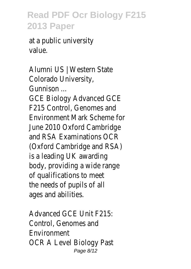at a public university value.

Alumni US | Western State Colorado University, Gunnison ... GCE Biology Advanced GCE F215 Control, Genomes and Environment Mark Scheme for June 2010 Oxford Cambridge and RSA Examinations OCR (Oxford Cambridge and RSA) is a leading UK awarding body, providing a wide range of qualifications to meet the needs of pupils of all ages and abilities.

Advanced GCE Unit F215: Control, Genomes and Environment OCR A Level Biology Past Page 8/12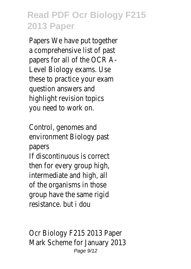Papers We have put together a comprehensive list of past papers for all of the OCR A-Level Biology exams. Use these to practice your exam question answers and highlight revision topics you need to work on.

Control, genomes and environment Biology past papers

If discontinuous is correct then for every group high, intermediate and high, all of the organisms in those group have the same rigid resistance. but i dou

Ocr Biology F215 2013 Paper Mark Scheme for January 2013 Page 9/12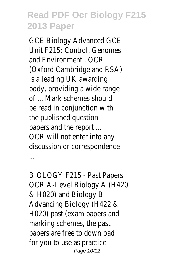GCE Biology Advanced GCE Unit F215: Control, Genomes and Environment . OCR (Oxford Cambridge and RSA) is a leading UK awarding body, providing a wide range of ... Mark schemes should be read in conjunction with the published question papers and the report ... OCR will not enter into any discussion or correspondence ...

BIOLOGY F215 - Past Papers OCR A-Level Biology A (H420 & H020) and Biology B Advancing Biology (H422 & H020) past (exam papers and marking schemes, the past papers are free to download for you to use as practice Page 10/12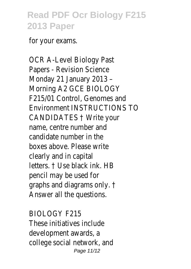for your exams.

OCR A-Level Biology Past Papers - Revision Science Monday 21 January 2013 – Morning A2 GCE BIOLOGY F215/01 Control, Genomes and Environment INSTRUCTIONS TO CANDIDATES † Write your name, centre number and candidate number in the boxes above. Please write clearly and in capital letters. † Use black ink. HB pencil may be used for graphs and diagrams only. † Answer all the questions.

BIOLOGY F215 These initiatives include development awards, a college social network, and Page 11/12